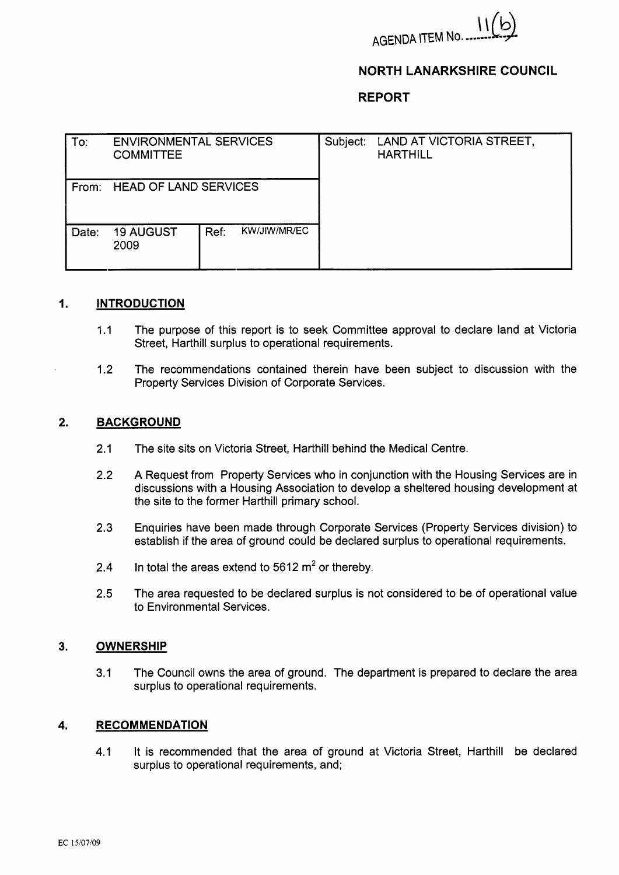

# **NORTH LANARKSHIRE COUNCIL**

## **REPORT**

| To:   | <b>ENVIRONMENTAL SERVICES</b><br><b>COMMITTEE</b> |      |              | Subject: | LAND AT VICTORIA STREET,<br><b>HARTHILL</b> |
|-------|---------------------------------------------------|------|--------------|----------|---------------------------------------------|
| From: | <b>HEAD OF LAND SERVICES</b>                      |      |              |          |                                             |
| Date: | <b>19 AUGUST</b><br>2009                          | Ref: | KW/JIW/MR/EC |          |                                             |

### **I. INTRODUCTION**

- 1.1 The purpose of this report is to seek Committee approval to declare land at Victoria Street, Harthill surplus to operational requirements.
- 1.2 The recommendations contained therein have been subject to discussion with the Property Services Division of Corporate Services.

#### **2. BACKGROUND**

- 2.1 The site sits on Victoria Street, Harthill behind the Medical Centre.
- 2.2 A Request from Property Services who in conjunction with the Housing Services are in discussions with a Housing Association to develop a sheltered housing development at the site to the former Harthill primary school.
- 2.3 Enquiries have been made through Corporate Services (Property Services division) to establish if the area of ground could be declared surplus to operational requirements.
- 2.4 In total the areas extend to  $5612 \text{ m}^2$  or thereby.
- 2.5 The area requested to be declared surplus is not considered to **be** of operational value to Environmental Services.

#### **3. OWNERSHIP**

3.1 The Council owns the area of ground. The department is prepared to declare the area surplus to operational requirements.

### **4. RECOMMENDATION**

4.1 It is recommended that the area of ground at Victoria Street, Harthill be declared surplus to operational requirements, and;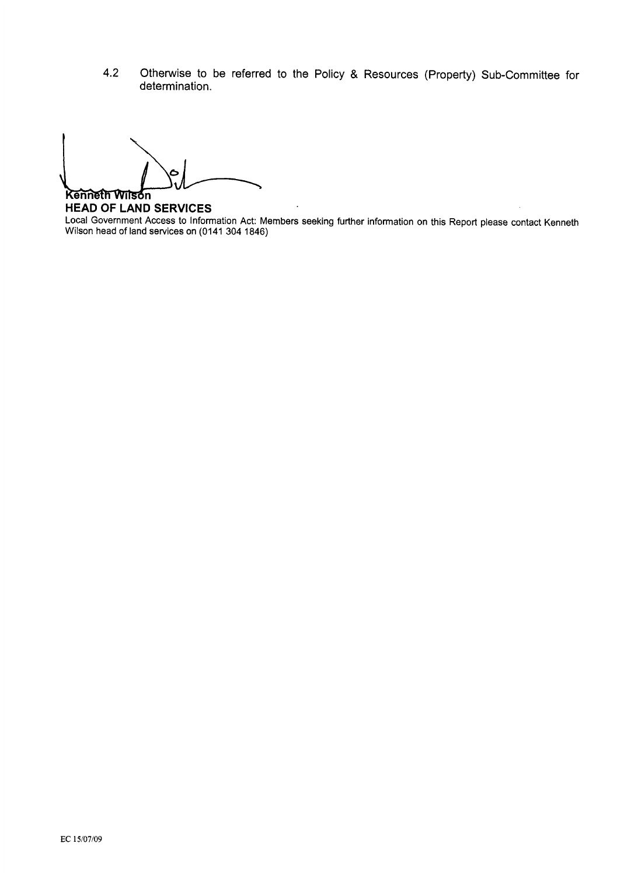**4.2** Otherwise to be referred to the Policy & Resources (Property) Sub-Committee for determination.

Kenneth Wilson

**HEAD OF LAND SERVICES**  Local Government Access to Information Act: Members seeking further information on this Report please contact Kenneth Wilson head of land services on **(0141 304 1846)**